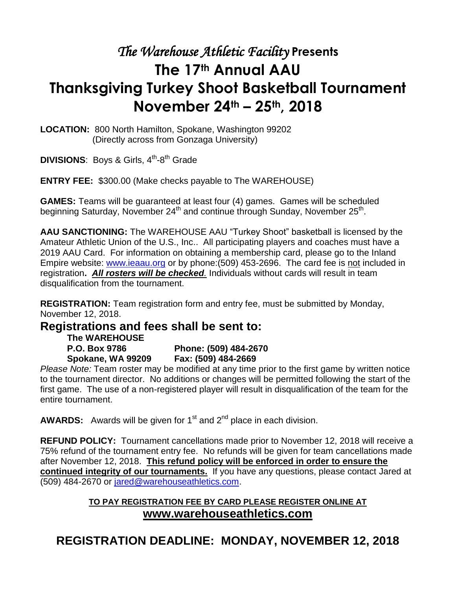# *The Warehouse Athletic Facility* **Presents The 17th Annual AAU Thanksgiving Turkey Shoot Basketball Tournament November 24th – 25th, 2018**

**LOCATION:** 800 North Hamilton, Spokane, Washington 99202 (Directly across from Gonzaga University)

DIVISIONS: Boys & Girls, 4<sup>th</sup>-8<sup>th</sup> Grade

**ENTRY FEE:** \$300.00 (Make checks payable to The WAREHOUSE)

**GAMES:** Teams will be guaranteed at least four (4) games. Games will be scheduled beginning Saturday, November 24<sup>th</sup> and continue through Sunday, November 25<sup>th</sup>.

**AAU SANCTIONING:** The WAREHOUSE AAU "Turkey Shoot" basketball is licensed by the Amateur Athletic Union of the U.S., Inc.. All participating players and coaches must have a 2019 AAU Card. For information on obtaining a membership card, please go to the Inland Empire website: [www.ieaau.org](http://www.ieaau.org/) or by phone:(509) 453-2696. The card fee is not included in registration**.** *All rosters will be checked.* Individuals without cards will result in team disqualification from the tournament.

**REGISTRATION:** Team registration form and entry fee, must be submitted by Monday, November 12, 2018.

### **Registrations and fees shall be sent to:**

**The WAREHOUSE**

**P.O. Box 9786 Phone: (509) 484-2670 Spokane, WA 99209 Fax: (509) 484-2669**

*Please Note:* Team roster may be modified at any time prior to the first game by written notice to the tournament director. No additions or changes will be permitted following the start of the first game. The use of a non-registered player will result in disqualification of the team for the entire tournament.

**AWARDS:** Awards will be given for  $1<sup>st</sup>$  and  $2<sup>nd</sup>$  place in each division.

**REFUND POLICY:** Tournament cancellations made prior to November 12, 2018 will receive a 75% refund of the tournament entry fee. No refunds will be given for team cancellations made after November 12, 2018. **This refund policy will be enforced in order to ensure the continued integrity of our tournaments.** If you have any questions, please contact Jared at (509) 484-2670 or [jared@warehouseathletics.com.](mailto:katie@warehouseathletics.com)

#### **TO PAY REGISTRATION FEE BY CARD PLEASE REGISTER ONLINE AT www.warehouseathletics.com**

**REGISTRATION DEADLINE: MONDAY, NOVEMBER 12, 2018**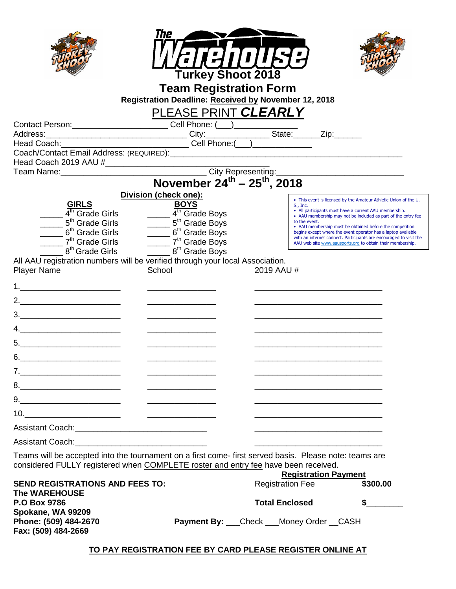|                                                                                                                                                                                                                                                                                                                        | The                                                                                                                                                                                                                                                                   |                         |                             |                                                                                                                                     |
|------------------------------------------------------------------------------------------------------------------------------------------------------------------------------------------------------------------------------------------------------------------------------------------------------------------------|-----------------------------------------------------------------------------------------------------------------------------------------------------------------------------------------------------------------------------------------------------------------------|-------------------------|-----------------------------|-------------------------------------------------------------------------------------------------------------------------------------|
|                                                                                                                                                                                                                                                                                                                        |                                                                                                                                                                                                                                                                       |                         |                             |                                                                                                                                     |
|                                                                                                                                                                                                                                                                                                                        | <b>Turkey Shoot 2018</b>                                                                                                                                                                                                                                              |                         |                             |                                                                                                                                     |
|                                                                                                                                                                                                                                                                                                                        | <b>Team Registration Form</b>                                                                                                                                                                                                                                         |                         |                             |                                                                                                                                     |
|                                                                                                                                                                                                                                                                                                                        | Registration Deadline: Received by November 12, 2018                                                                                                                                                                                                                  |                         |                             |                                                                                                                                     |
|                                                                                                                                                                                                                                                                                                                        | PLEASE PRINT CLEARLY                                                                                                                                                                                                                                                  |                         |                             |                                                                                                                                     |
|                                                                                                                                                                                                                                                                                                                        | Contact Person:<br>Address: Cell Phone: (Call Phone: City: City: City: City: City: City: City: City: City: City: Cell Phone: (Call Phone: City: Cell Phone: Cull Phone: Cull Phone: Cull Phone: Cull Phone: Cull Phone: Cull Pho                                      |                         |                             |                                                                                                                                     |
|                                                                                                                                                                                                                                                                                                                        |                                                                                                                                                                                                                                                                       |                         |                             |                                                                                                                                     |
|                                                                                                                                                                                                                                                                                                                        |                                                                                                                                                                                                                                                                       |                         |                             |                                                                                                                                     |
|                                                                                                                                                                                                                                                                                                                        |                                                                                                                                                                                                                                                                       |                         |                             |                                                                                                                                     |
|                                                                                                                                                                                                                                                                                                                        | $\begin{array}{r}\n\hline\n\text{Tean Name:}\n\end{array}$ \n <p>1.2013 AAC <math>\pi</math></p> \n <p>1.2013 AAC <math>\pi</math></p> \n <p>1.2013 AAC <math>\pi</math></p> \n <p>1.2014 A and 1.2015 AAC <math>\pi</math></p> \n <p>1.2018 AAC <math>\pi</math></p> |                         |                             |                                                                                                                                     |
|                                                                                                                                                                                                                                                                                                                        |                                                                                                                                                                                                                                                                       |                         |                             |                                                                                                                                     |
| <b>GIRLS</b>                                                                                                                                                                                                                                                                                                           | Division (check one):<br><b>BOYS</b>                                                                                                                                                                                                                                  |                         | S., Inc.                    | • This event is licensed by the Amateur Athletic Union of the U.                                                                    |
| $\frac{1}{4}$ <sup>th</sup> Grade Girls                                                                                                                                                                                                                                                                                | $\frac{4^{\text{th}}}{\text{Grade}}$ Boys                                                                                                                                                                                                                             |                         |                             | • All participants must have a current AAU membership.<br>• AAU membership may not be included as part of the entry fee             |
| 5 <sup>th</sup> Grade Girls                                                                                                                                                                                                                                                                                            | $\frac{1}{2}$ 5 <sup>th</sup> Grade Boys                                                                                                                                                                                                                              |                         | to the event.               | • AAU membership must be obtained before the competition                                                                            |
| 6 <sup>th</sup> Grade Girls<br>7 <sup>th</sup> Grade Girls                                                                                                                                                                                                                                                             |                                                                                                                                                                                                                                                                       |                         |                             | begins except where the event operator has a laptop available<br>with an internet connect. Participants are encouraged to visit the |
| $\overline{\phantom{a}}$ 8 <sup>th</sup> Grade Girls                                                                                                                                                                                                                                                                   | 6 <sup>th</sup> Grade Boys<br>7 <sup>th</sup> Grade Boys<br><u>2011</u> 8 <sup>th</sup> Grade Boys                                                                                                                                                                    |                         |                             | AAU web site www.aausports.org to obtain their membership.                                                                          |
|                                                                                                                                                                                                                                                                                                                        | All AAU registration numbers will be verified through your local Association.                                                                                                                                                                                         |                         |                             |                                                                                                                                     |
| <b>Player Name</b>                                                                                                                                                                                                                                                                                                     | School                                                                                                                                                                                                                                                                | 2019 AAU #              |                             |                                                                                                                                     |
| 1. $\frac{1}{2}$ $\frac{1}{2}$ $\frac{1}{2}$ $\frac{1}{2}$ $\frac{1}{2}$ $\frac{1}{2}$ $\frac{1}{2}$ $\frac{1}{2}$ $\frac{1}{2}$ $\frac{1}{2}$ $\frac{1}{2}$ $\frac{1}{2}$ $\frac{1}{2}$ $\frac{1}{2}$ $\frac{1}{2}$ $\frac{1}{2}$ $\frac{1}{2}$ $\frac{1}{2}$ $\frac{1}{2}$ $\frac{1}{2}$ $\frac{1}{2}$ $\frac{1}{2}$ |                                                                                                                                                                                                                                                                       |                         |                             |                                                                                                                                     |
|                                                                                                                                                                                                                                                                                                                        |                                                                                                                                                                                                                                                                       |                         |                             |                                                                                                                                     |
|                                                                                                                                                                                                                                                                                                                        |                                                                                                                                                                                                                                                                       |                         |                             |                                                                                                                                     |
|                                                                                                                                                                                                                                                                                                                        |                                                                                                                                                                                                                                                                       |                         |                             |                                                                                                                                     |
|                                                                                                                                                                                                                                                                                                                        |                                                                                                                                                                                                                                                                       |                         |                             |                                                                                                                                     |
|                                                                                                                                                                                                                                                                                                                        |                                                                                                                                                                                                                                                                       |                         |                             |                                                                                                                                     |
| 6. ______________________                                                                                                                                                                                                                                                                                              |                                                                                                                                                                                                                                                                       |                         |                             |                                                                                                                                     |
| 7.                                                                                                                                                                                                                                                                                                                     |                                                                                                                                                                                                                                                                       |                         |                             |                                                                                                                                     |
|                                                                                                                                                                                                                                                                                                                        |                                                                                                                                                                                                                                                                       |                         |                             |                                                                                                                                     |
| $9. \qquad \qquad 9. \qquad \qquad$                                                                                                                                                                                                                                                                                    |                                                                                                                                                                                                                                                                       |                         |                             |                                                                                                                                     |
| $10. \begin{tabular}{l} \hline \end{tabular}$                                                                                                                                                                                                                                                                          | <u> 1980 - Jan Samuel Barbara, margaret e</u>                                                                                                                                                                                                                         |                         |                             |                                                                                                                                     |
|                                                                                                                                                                                                                                                                                                                        |                                                                                                                                                                                                                                                                       |                         |                             |                                                                                                                                     |
|                                                                                                                                                                                                                                                                                                                        |                                                                                                                                                                                                                                                                       |                         |                             |                                                                                                                                     |
|                                                                                                                                                                                                                                                                                                                        | Teams will be accepted into the tournament on a first come-first served basis. Please note: teams are<br>considered FULLY registered when COMPLETE roster and entry fee have been received.                                                                           |                         |                             |                                                                                                                                     |
| <b>SEND REGISTRATIONS AND FEES TO:</b>                                                                                                                                                                                                                                                                                 |                                                                                                                                                                                                                                                                       | <b>Registration Fee</b> | <b>Registration Payment</b> | \$300.00                                                                                                                            |
| <b>The WAREHOUSE</b>                                                                                                                                                                                                                                                                                                   |                                                                                                                                                                                                                                                                       |                         |                             |                                                                                                                                     |
| P.O Box 9786<br>Spokane, WA 99209                                                                                                                                                                                                                                                                                      |                                                                                                                                                                                                                                                                       | <b>Total Enclosed</b>   |                             | $\sim$                                                                                                                              |
| Phone: (509) 484-2670<br>Fax: (509) 484-2669                                                                                                                                                                                                                                                                           | <b>Payment By:</b> ___Check ___Money Order __CASH                                                                                                                                                                                                                     |                         |                             |                                                                                                                                     |
|                                                                                                                                                                                                                                                                                                                        | TO PAY REGISTRATION FEE BY CARD PLEASE REGISTER ONLINE AT                                                                                                                                                                                                             |                         |                             |                                                                                                                                     |